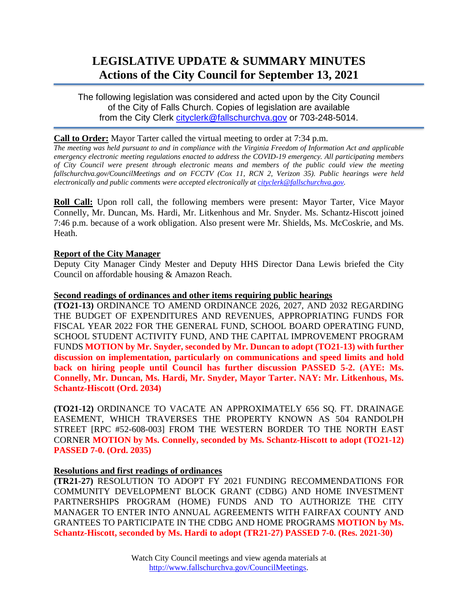# **LEGISLATIVE UPDATE & SUMMARY MINUTES Actions of the City Council for September 13, 2021**

The following legislation was considered and acted upon by the City Council of the City of Falls Church. Copies of legislation are available from the City Clerk [cityclerk@fallschurchva.gov](mailto:cityclerk@fallschurchva.gov) or 703-248-5014.

### **Call to Order:** Mayor Tarter called the virtual meeting to order at 7:34 p.m.

*The meeting was held pursuant to and in compliance with the Virginia Freedom of Information Act and applicable emergency electronic meeting regulations enacted to address the COVID-19 emergency. All participating members of City Council were present through electronic means and members of the public could view the meeting fallschurchva.gov/CouncilMeetings and on FCCTV (Cox 11, RCN 2, Verizon 35). Public hearings were held electronically and public comments were accepted electronically a[t cityclerk@fallschurchva.gov.](mailto:cityclerk@fallschurchva.gov)*

**Roll Call:** Upon roll call, the following members were present: Mayor Tarter, Vice Mayor Connelly, Mr. Duncan, Ms. Hardi, Mr. Litkenhous and Mr. Snyder. Ms. Schantz-Hiscott joined 7:46 p.m. because of a work obligation. Also present were Mr. Shields, Ms. McCoskrie, and Ms. Heath.

#### **Report of the City Manager**

Deputy City Manager Cindy Mester and Deputy HHS Director Dana Lewis briefed the City Council on affordable housing & Amazon Reach.

#### **Second readings of ordinances and other items requiring public hearings**

**(TO21-13)** ORDINANCE TO AMEND ORDINANCE 2026, 2027, AND 2032 REGARDING THE BUDGET OF EXPENDITURES AND REVENUES, APPROPRIATING FUNDS FOR FISCAL YEAR 2022 FOR THE GENERAL FUND, SCHOOL BOARD OPERATING FUND, SCHOOL STUDENT ACTIVITY FUND, AND THE CAPITAL IMPROVEMENT PROGRAM FUNDS **MOTION by Mr. Snyder, seconded by Mr. Duncan to adopt (TO21-13) with further discussion on implementation, particularly on communications and speed limits and hold back on hiring people until Council has further discussion PASSED 5-2. (AYE: Ms. Connelly, Mr. Duncan, Ms. Hardi, Mr. Snyder, Mayor Tarter. NAY: Mr. Litkenhous, Ms. Schantz-Hiscott (Ord. 2034)**

**(TO21-12)** ORDINANCE TO VACATE AN APPROXIMATELY 656 SQ. FT. DRAINAGE EASEMENT, WHICH TRAVERSES THE PROPERTY KNOWN AS 504 RANDOLPH STREET [RPC #52-608-003] FROM THE WESTERN BORDER TO THE NORTH EAST CORNER **MOTION by Ms. Connelly, seconded by Ms. Schantz-Hiscott to adopt (TO21-12) PASSED 7-0. (Ord. 2035)**

## **Resolutions and first readings of ordinances**

**(TR21-27)** RESOLUTION TO ADOPT FY 2021 FUNDING RECOMMENDATIONS FOR COMMUNITY DEVELOPMENT BLOCK GRANT (CDBG) AND HOME INVESTMENT PARTNERSHIPS PROGRAM (HOME) FUNDS AND TO AUTHORIZE THE CITY MANAGER TO ENTER INTO ANNUAL AGREEMENTS WITH FAIRFAX COUNTY AND GRANTEES TO PARTICIPATE IN THE CDBG AND HOME PROGRAMS **MOTION by Ms. Schantz-Hiscott, seconded by Ms. Hardi to adopt (TR21-27) PASSED 7-0. (Res. 2021-30)**